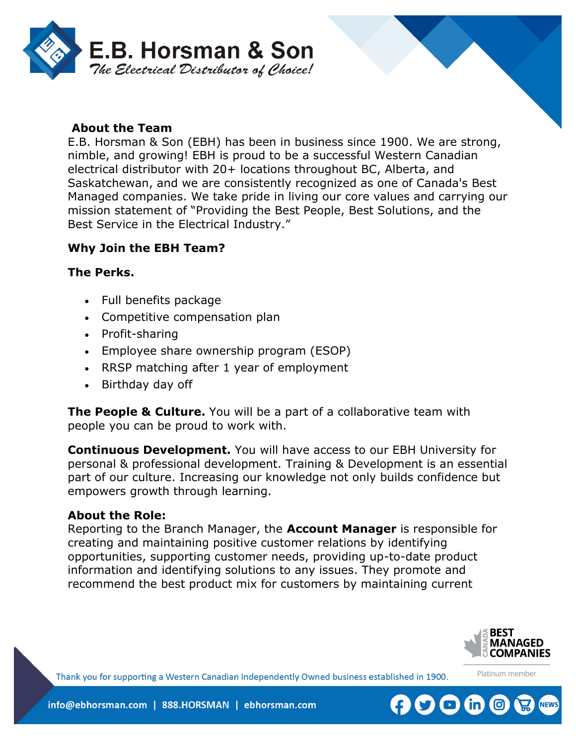

#### **About the Team**

E.B. Horsman & Son (EBH) has been in business since 1900. We are strong, nimble, and growing! EBH is proud to be a successful Western Canadian electrical distributor with 20+ locations throughout BC, Alberta, and Saskatchewan, and we are consistently recognized as one of Canada's Best Managed companies. We take pride in living our core values and carrying our mission statement of "Providing the Best People, Best Solutions, and the Best Service in the Electrical Industry."

#### **Why Join the EBH Team?**

#### **The Perks.**

- Full benefits package
- Competitive compensation plan
- Profit-sharing
- Employee share ownership program (ESOP)
- RRSP matching after 1 year of employment
- Birthday day off

**The People & Culture.** You will be a part of a collaborative team with people you can be proud to work with.

**Continuous Development.** You will have access to our EBH University for personal & professional development. Training & Development is an essential part of our culture. Increasing our knowledge not only builds confidence but empowers growth through learning.

#### **About the Role:**

Reporting to the Branch Manager, the **Account Manager** is responsible for creating and maintaining positive customer relations by identifying opportunities, supporting customer needs, providing up-to-date product information and identifying solutions to any issues. They promote and recommend the best product mix for customers by maintaining current



Platinum member

Thank you for supporting a Western Canadian Independently Owned business established in 1900.

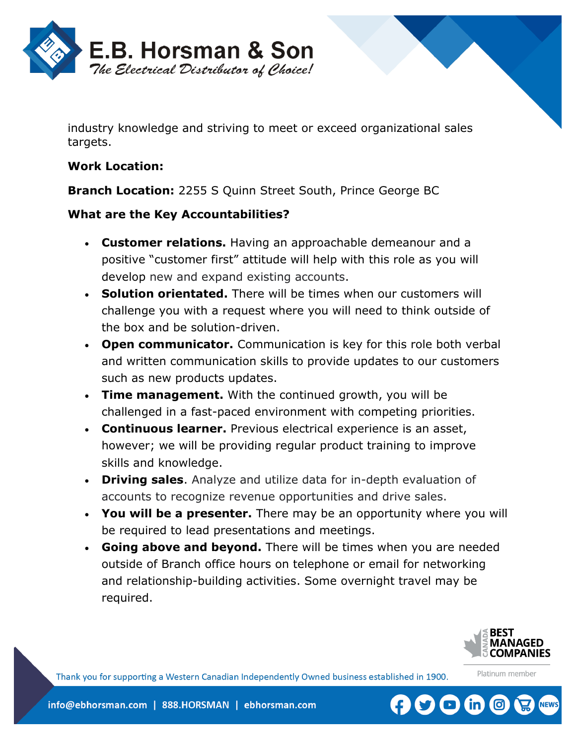

industry knowledge and striving to meet or exceed organizational sales targets.

#### **Work Location:**

**Branch Location:** [2255 S Quinn Street South, Prince George BC](https://www.bing.com/local?lid=YN1226x7357768287598413521&id=YN1226x7357768287598413521&q=E.B.+Horsman+%26+Son&name=E.B.+Horsman+%26+Son&cp=53.902259826660156%7e-122.79263305664062&ppois=53.902259826660156_-122.79263305664062_E.B.+Horsman+%26+Son) 

# **What are the Key Accountabilities?**

- **Customer relations.** Having an approachable demeanour and a positive "customer first" attitude will help with this role as you will develop new and expand existing accounts.
- **Solution orientated.** There will be times when our customers will challenge you with a request where you will need to think outside of the box and be solution-driven.
- **Open communicator.** Communication is key for this role both verbal and written communication skills to provide updates to our customers such as new products updates.
- **Time management.** With the continued growth, you will be challenged in a fast-paced environment with competing priorities.
- **Continuous learner.** Previous electrical experience is an asset, however; we will be providing regular product training to improve skills and knowledge.
- **Driving sales**. Analyze and utilize data for in-depth evaluation of accounts to recognize revenue opportunities and drive sales.
- **You will be a presenter.** There may be an opportunity where you will be required to lead presentations and meetings.
- **Going above and beyond.** There will be times when you are needed outside of Branch office hours on telephone or email for networking and relationship-building activities. Some overnight travel may be required.



Platinum member

 $\left( \begin{array}{c} \bullet \\ \bullet \end{array} \right)$ 

Thank you for supporting a Western Canadian Independently Owned business established in 1900.